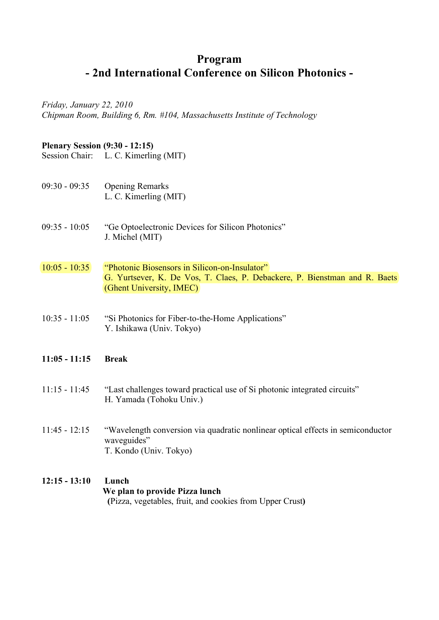## **Program - 2nd International Conference on Silicon Photonics -**

*Friday, January 22, 2010 Chipman Room, Building 6, Rm. #104, Massachusetts Institute of Technology*

#### **Plenary Session (9:30 - 12:15)**

Session Chair: L. C. Kimerling (MIT)

- 09:30 09:35 Opening Remarks L. C. Kimerling (MIT)
- 09:35 10:05 "Ge Optoelectronic Devices for Silicon Photonics" J. Michel (MIT)
- 10:05 10:35 "Photonic Biosensors in Silicon-on-Insulator" G. Yurtsever, K. De Vos, T. Claes, P. Debackere, P. Bienstman and R. Baets (Ghent University, IMEC)
- 10:35 11:05 "Si Photonics for Fiber-to-the-Home Applications" Y. Ishikawa (Univ. Tokyo)

#### **11:05 - 11:15 Break**

- 11:15 11:45 "Last challenges toward practical use of Si photonic integrated circuits" H. Yamada (Tohoku Univ.)
- 11:45 12:15 "Wavelength conversion via quadratic nonlinear optical effects in semiconductor waveguides" T. Kondo (Univ. Tokyo)
- **12:15 13:10 Lunch We plan to provide Pizza lunch (**Pizza, vegetables, fruit, and cookies from Upper Crust**)**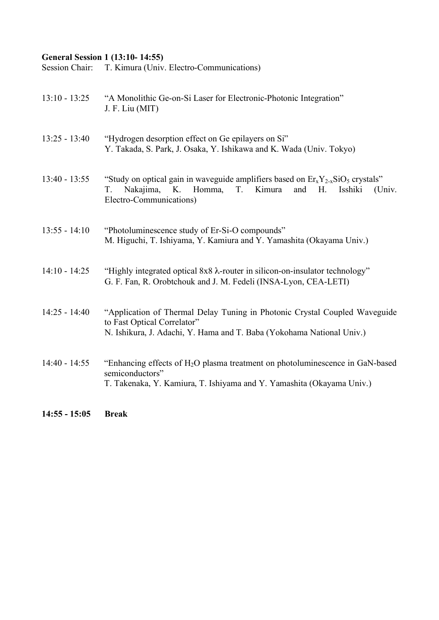### **General Session 1 (13:10- 14:55)**

Session Chair: T. Kimura (Univ. Electro-Communications)

| $14:55 - 15:05$ | <b>Break</b>                                                                                                                                                                                         |
|-----------------|------------------------------------------------------------------------------------------------------------------------------------------------------------------------------------------------------|
| $14:40 - 14:55$ | "Enhancing effects of H <sub>2</sub> O plasma treatment on photoluminescence in GaN-based<br>semiconductors"<br>T. Takenaka, Y. Kamiura, T. Ishiyama and Y. Yamashita (Okayama Univ.)                |
| $14:25 - 14:40$ | "Application of Thermal Delay Tuning in Photonic Crystal Coupled Waveguide<br>to Fast Optical Correlator"<br>N. Ishikura, J. Adachi, Y. Hama and T. Baba (Yokohama National Univ.)                   |
| $14:10 - 14:25$ | "Highly integrated optical 8x8 $\lambda$ -router in silicon-on-insulator technology"<br>G. F. Fan, R. Orobtchouk and J. M. Fedeli (INSA-Lyon, CEA-LETI)                                              |
| $13:55 - 14:10$ | "Photoluminescence study of Er-Si-O compounds"<br>M. Higuchi, T. Ishiyama, Y. Kamiura and Y. Yamashita (Okayama Univ.)                                                                               |
| $13:40 - 13:55$ | "Study on optical gain in waveguide amplifiers based on $Er_xY_{2-x}SiO_5$ crystals"<br>Nakajima,<br>K.<br>Homma,<br>T.<br>Kimura<br>T.<br>and<br>H.<br>Isshiki<br>(Univ.<br>Electro-Communications) |
| $13:25 - 13:40$ | "Hydrogen desorption effect on Ge epilayers on Si"<br>Y. Takada, S. Park, J. Osaka, Y. Ishikawa and K. Wada (Univ. Tokyo)                                                                            |
| $13:10 - 13:25$ | "A Monolithic Ge-on-Si Laser for Electronic-Photonic Integration"<br>J. F. Liu (MIT)                                                                                                                 |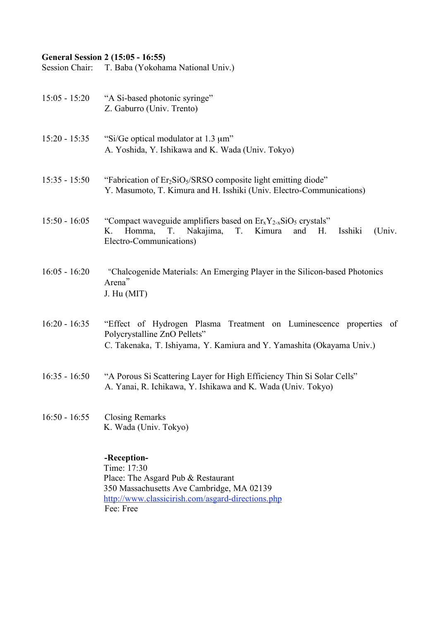## **General Session 2 (15:05 - 16:55)**

Session Chair: T. Baba (Yokohama National Univ.)

| $15:05 - 15:20$ | "A Si-based photonic syringe"<br>Z. Gaburro (Univ. Trento)                                                                                                                          |
|-----------------|-------------------------------------------------------------------------------------------------------------------------------------------------------------------------------------|
| $15:20 - 15:35$ | "Si/Ge optical modulator at 1.3 µm"<br>A. Yoshida, Y. Ishikawa and K. Wada (Univ. Tokyo)                                                                                            |
| $15:35 - 15:50$ | "Fabrication of Er <sub>2</sub> SiO <sub>5</sub> /SRSO composite light emitting diode"<br>Y. Masumoto, T. Kimura and H. Isshiki (Univ. Electro-Communications)                      |
| $15:50 - 16:05$ | "Compact waveguide amplifiers based on $Er_xY_{2-x}SiO_5$ crystals"<br>Kimura<br>K.<br>Homma,<br>Nakajima,<br>T.<br>and<br>Н.<br>Isshiki<br>(Univ.<br>T.<br>Electro-Communications) |
| $16:05 - 16:20$ | "Chalcogenide Materials: An Emerging Player in the Silicon-based Photonics<br>Arena"<br>J. Hu (MIT)                                                                                 |
| $16:20 - 16:35$ | "Effect of Hydrogen Plasma Treatment on Luminescence properties of<br>Polycrystalline ZnO Pellets"<br>C. Takenaka, T. Ishiyama, Y. Kamiura and Y. Yamashita (Okayama Univ.)         |
| $16:35 - 16:50$ | "A Porous Si Scattering Layer for High Efficiency Thin Si Solar Cells"<br>A. Yanai, R. Ichikawa, Y. Ishikawa and K. Wada (Univ. Tokyo)                                              |
|                 | 16:50 - 16:55 Closing Remarks<br>K. Wada (Univ. Tokyo)                                                                                                                              |
|                 | -Reception-<br>Time: 17:30<br>Place: The Asgard Pub & Restaurant                                                                                                                    |

http://www.classicirish.com/asgard-directions.php Fee: Free

350 Massachusetts Ave Cambridge, MA 02139